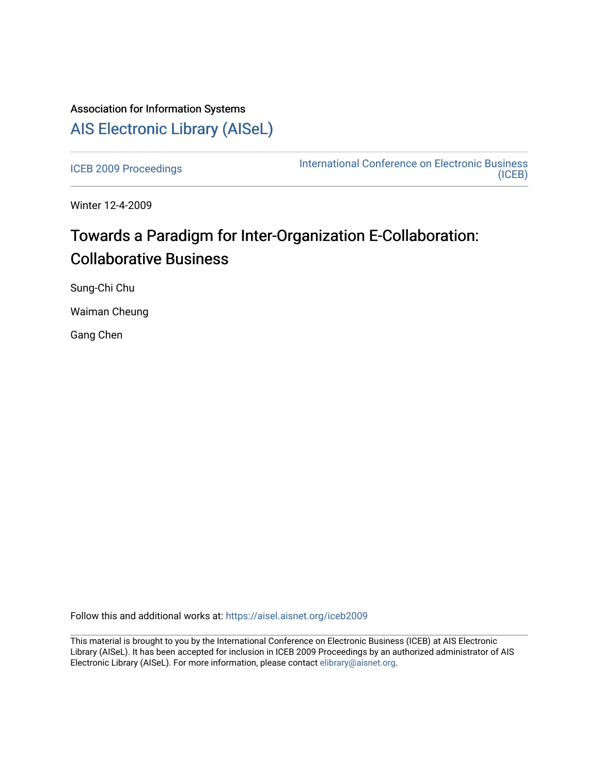# Association for Information Systems [AIS Electronic Library \(AISeL\)](https://aisel.aisnet.org/)

[ICEB 2009 Proceedings](https://aisel.aisnet.org/iceb2009) **International Conference on Electronic Business** [\(ICEB\)](https://aisel.aisnet.org/iceb) 

Winter 12-4-2009

# Towards a Paradigm for Inter-Organization E-Collaboration: Collaborative Business

Sung-Chi Chu

Waiman Cheung

Gang Chen

Follow this and additional works at: [https://aisel.aisnet.org/iceb2009](https://aisel.aisnet.org/iceb2009?utm_source=aisel.aisnet.org%2Ficeb2009%2F55&utm_medium=PDF&utm_campaign=PDFCoverPages)

This material is brought to you by the International Conference on Electronic Business (ICEB) at AIS Electronic Library (AISeL). It has been accepted for inclusion in ICEB 2009 Proceedings by an authorized administrator of AIS Electronic Library (AISeL). For more information, please contact [elibrary@aisnet.org.](mailto:elibrary@aisnet.org%3E)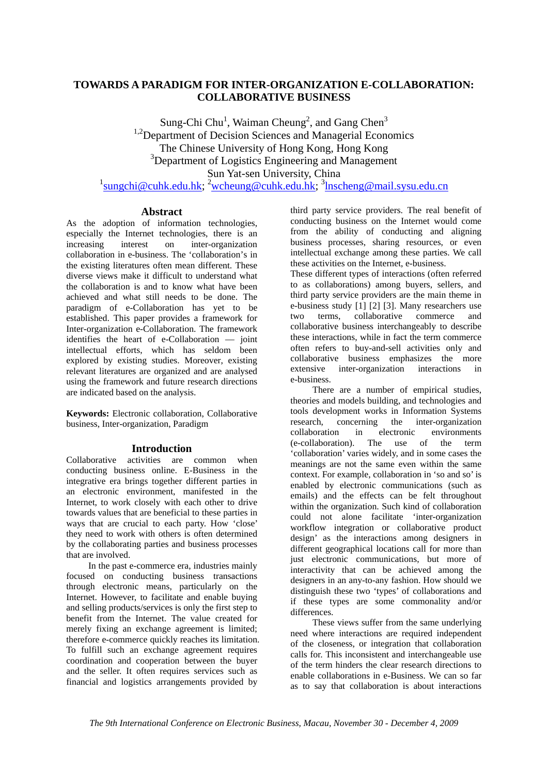# **TOWARDS A PARADIGM FOR INTER-ORGANIZATION E-COLLABORATION: COLLABORATIVE BUSINESS**

Sung-Chi Chu<sup>1</sup>, Waiman Cheung<sup>2</sup>, and Gang Chen<sup>3</sup> <sup>1,2</sup>Department of Decision Sciences and Managerial Economics The Chinese University of Hong Kong, Hong Kong <sup>3</sup>Department of Logistics Engineering and Management Sun Yat-sen University, China <sup>1</sup>sungchi@cuhk.edu.hk; <sup>2</sup>wcheung@cuhk.edu.hk; <sup>3</sup>lnscheng@mail.sysu.edu.cn

#### **Abstract**

As the adoption of information technologies, especially the Internet technologies, there is an increasing interest on inter-organization collaboration in e-business. The 'collaboration's in the existing literatures often mean different. These diverse views make it difficult to understand what the collaboration is and to know what have been achieved and what still needs to be done. The paradigm of e-Collaboration has yet to be established. This paper provides a framework for Inter-organization e-Collaboration. The framework identifies the heart of e-Collaboration — joint intellectual efforts, which has seldom been explored by existing studies. Moreover, existing relevant literatures are organized and are analysed using the framework and future research directions are indicated based on the analysis.

**Keywords:** Electronic collaboration, Collaborative business, Inter-organization, Paradigm

# **Introduction**

Collaborative activities are common when conducting business online. E-Business in the integrative era brings together different parties in an electronic environment, manifested in the Internet, to work closely with each other to drive towards values that are beneficial to these parties in ways that are crucial to each party. How 'close' they need to work with others is often determined by the collaborating parties and business processes that are involved.

In the past e-commerce era, industries mainly focused on conducting business transactions through electronic means, particularly on the Internet. However, to facilitate and enable buying and selling products/services is only the first step to benefit from the Internet. The value created for merely fixing an exchange agreement is limited; therefore e-commerce quickly reaches its limitation. To fulfill such an exchange agreement requires coordination and cooperation between the buyer and the seller. It often requires services such as financial and logistics arrangements provided by

third party service providers. The real benefit of conducting business on the Internet would come from the ability of conducting and aligning business processes, sharing resources, or even intellectual exchange among these parties. We call these activities on the Internet, e-business.

These different types of interactions (often referred to as collaborations) among buyers, sellers, and third party service providers are the main theme in e-business study [1] [2] [3]. Many researchers use two terms, collaborative commerce and collaborative business interchangeably to describe these interactions, while in fact the term commerce often refers to buy-and-sell activities only and collaborative business emphasizes the more extensive inter-organization interactions in e-business.

There are a number of empirical studies, theories and models building, and technologies and tools development works in Information Systems research, concerning the inter-organization collaboration in electronic environments (e-collaboration). The use of the term 'collaboration' varies widely, and in some cases the meanings are not the same even within the same context. For example, collaboration in 'so and so' is enabled by electronic communications (such as emails) and the effects can be felt throughout within the organization. Such kind of collaboration could not alone facilitate 'inter-organization workflow integration or collaborative product design' as the interactions among designers in different geographical locations call for more than just electronic communications, but more of interactivity that can be achieved among the designers in an any-to-any fashion. How should we distinguish these two 'types' of collaborations and if these types are some commonality and/or differences.

These views suffer from the same underlying need where interactions are required independent of the closeness, or integration that collaboration calls for. This inconsistent and interchangeable use of the term hinders the clear research directions to enable collaborations in e-Business. We can so far as to say that collaboration is about interactions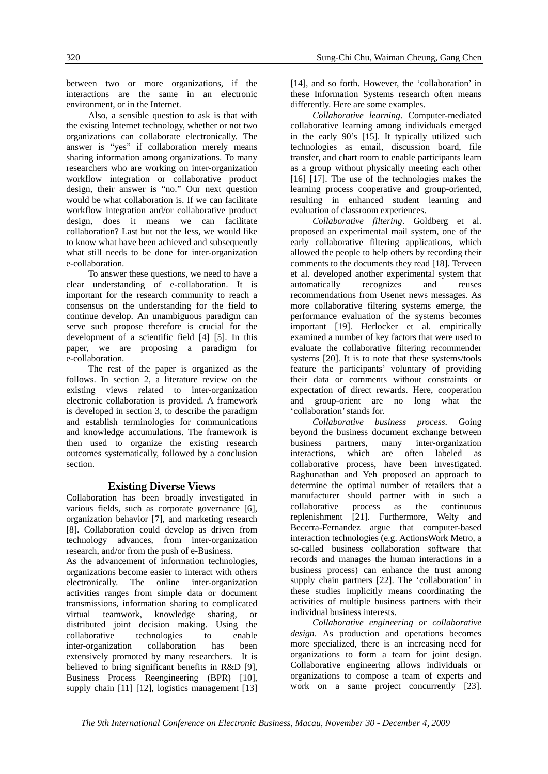between two or more organizations, if the interactions are the same in an electronic environment, or in the Internet.

Also, a sensible question to ask is that with the existing Internet technology, whether or not two organizations can collaborate electronically. The answer is "yes" if collaboration merely means sharing information among organizations. To many researchers who are working on inter-organization workflow integration or collaborative product design, their answer is "no." Our next question would be what collaboration is. If we can facilitate workflow integration and/or collaborative product design, does it means we can facilitate collaboration? Last but not the less, we would like to know what have been achieved and subsequently what still needs to be done for inter-organization e-collaboration.

To answer these questions, we need to have a clear understanding of e-collaboration. It is important for the research community to reach a consensus on the understanding for the field to continue develop. An unambiguous paradigm can serve such propose therefore is crucial for the development of a scientific field [4] [5]. In this paper, we are proposing a paradigm for e-collaboration.

The rest of the paper is organized as the follows. In section 2, a literature review on the existing views related to inter-organization electronic collaboration is provided. A framework is developed in section 3, to describe the paradigm and establish terminologies for communications and knowledge accumulations. The framework is then used to organize the existing research outcomes systematically, followed by a conclusion section.

# **Existing Diverse Views**

Collaboration has been broadly investigated in various fields, such as corporate governance [6], organization behavior [7], and marketing research [8]. Collaboration could develop as driven from technology advances, from inter-organization research, and/or from the push of e-Business.

As the advancement of information technologies, organizations become easier to interact with others electronically. The online inter-organization activities ranges from simple data or document transmissions, information sharing to complicated virtual teamwork, knowledge sharing, or distributed joint decision making. Using the collaborative technologies to enable inter-organization collaboration has been extensively promoted by many researchers. It is believed to bring significant benefits in R&D [9], Business Process Reengineering (BPR) [10], supply chain [11] [12], logistics management [13]

[14], and so forth. However, the 'collaboration' in these Information Systems research often means differently. Here are some examples.

*Collaborative learning*. Computer-mediated collaborative learning among individuals emerged in the early 90's [15]. It typically utilized such technologies as email, discussion board, file transfer, and chart room to enable participants learn as a group without physically meeting each other [16] [17]. The use of the technologies makes the learning process cooperative and group-oriented, resulting in enhanced student learning and evaluation of classroom experiences.

*Collaborative filtering*. Goldberg et al. proposed an experimental mail system, one of the early collaborative filtering applications, which allowed the people to help others by recording their comments to the documents they read [18]. Terveen et al. developed another experimental system that automatically recognizes and reuses recommendations from Usenet news messages. As more collaborative filtering systems emerge, the performance evaluation of the systems becomes important [19]. Herlocker et al. empirically examined a number of key factors that were used to evaluate the collaborative filtering recommender systems [20]. It is to note that these systems/tools feature the participants' voluntary of providing their data or comments without constraints or expectation of direct rewards. Here, cooperation and group-orient are no long what the 'collaboration' stands for.

*Collaborative business process*. Going beyond the business document exchange between business partners, many inter-organization interactions, which are often labeled as collaborative process, have been investigated. Raghunathan and Yeh proposed an approach to determine the optimal number of retailers that a manufacturer should partner with in such a collaborative process as the continuous replenishment [21]. Furthermore, Welty and Becerra-Fernandez argue that computer-based interaction technologies (e.g. ActionsWork Metro, a so-called business collaboration software that records and manages the human interactions in a business process) can enhance the trust among supply chain partners [22]. The 'collaboration' in these studies implicitly means coordinating the activities of multiple business partners with their individual business interests.

*Collaborative engineering or collaborative design*. As production and operations becomes more specialized, there is an increasing need for organizations to form a team for joint design. Collaborative engineering allows individuals or organizations to compose a team of experts and work on a same project concurrently [23].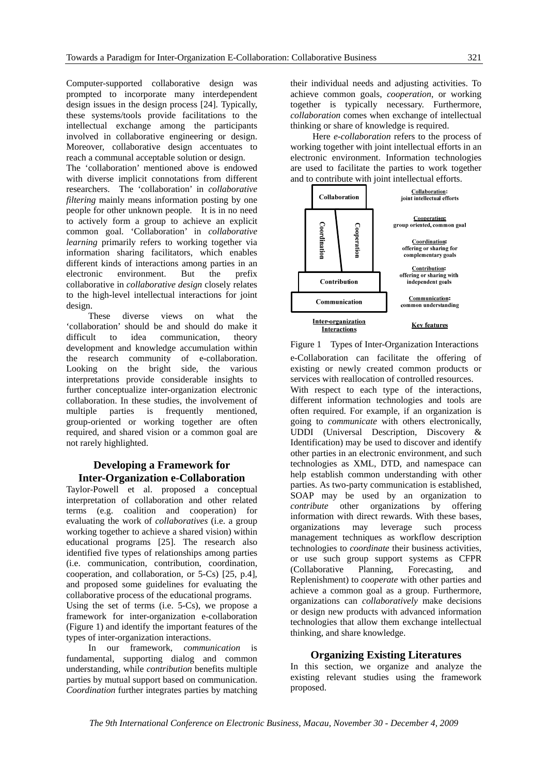Computer-supported collaborative design was prompted to incorporate many interdependent design issues in the design process [24]. Typically, these systems/tools provide facilitations to the intellectual exchange among the participants involved in collaborative engineering or design. Moreover, collaborative design accentuates to reach a communal acceptable solution or design.

The 'collaboration' mentioned above is endowed with diverse implicit connotations from different researchers. The 'collaboration' in *collaborative filtering* mainly means information posting by one people for other unknown people. It is in no need to actively form a group to achieve an explicit common goal. 'Collaboration' in *collaborative learning* primarily refers to working together via information sharing facilitators, which enables different kinds of interactions among parties in an electronic environment. But the prefix collaborative in *collaborative design* closely relates to the high-level intellectual interactions for joint design.

These diverse views on what the 'collaboration' should be and should do make it difficult to idea communication, theory development and knowledge accumulation within the research community of e-collaboration. Looking on the bright side, the various interpretations provide considerable insights to further conceptualize inter-organization electronic collaboration. In these studies, the involvement of multiple parties is frequently mentioned, group-oriented or working together are often required, and shared vision or a common goal are not rarely highlighted.

# **Developing a Framework for Inter-Organization e-Collaboration**

Taylor-Powell et al. proposed a conceptual interpretation of collaboration and other related terms (e.g. coalition and cooperation) for evaluating the work of *collaboratives* (i.e. a group working together to achieve a shared vision) within educational programs [25]. The research also identified five types of relationships among parties (i.e. communication, contribution, coordination, cooperation, and collaboration, or 5-Cs) [25, p.4], and proposed some guidelines for evaluating the collaborative process of the educational programs. Using the set of terms (i.e. 5-Cs), we propose a framework for inter-organization e-collaboration (Figure 1) and identify the important features of the types of inter-organization interactions.

In our framework, *communication* is fundamental, supporting dialog and common understanding, while *contribution* benefits multiple parties by mutual support based on communication. *Coordination* further integrates parties by matching

their individual needs and adjusting activities. To achieve common goals, *cooperation*, or working together is typically necessary. Furthermore, *collaboration* comes when exchange of intellectual thinking or share of knowledge is required.

Here *e-collaboration* refers to the process of working together with joint intellectual efforts in an electronic environment. Information technologies are used to facilitate the parties to work together and to contribute with joint intellectual efforts.



Figure 1 Types of Inter-Organization Interactions

e-Collaboration can facilitate the offering of existing or newly created common products or services with reallocation of controlled resources. With respect to each type of the interactions, different information technologies and tools are often required. For example, if an organization is going to *communicate* with others electronically, UDDI (Universal Description, Discovery & Identification) may be used to discover and identify other parties in an electronic environment, and such technologies as XML, DTD, and namespace can help establish common understanding with other parties. As two-party communication is established, SOAP may be used by an organization to *contribute* other organizations by offering information with direct rewards. With these bases, organizations may leverage such process management techniques as workflow description technologies to *coordinate* their business activities, or use such group support systems as CFPR (Collaborative Planning, Forecasting, and Replenishment) to *cooperate* with other parties and achieve a common goal as a group. Furthermore, organizations can *collaboratively* make decisions or design new products with advanced information technologies that allow them exchange intellectual thinking, and share knowledge.

# **Organizing Existing Literatures**

In this section, we organize and analyze the existing relevant studies using the framework proposed.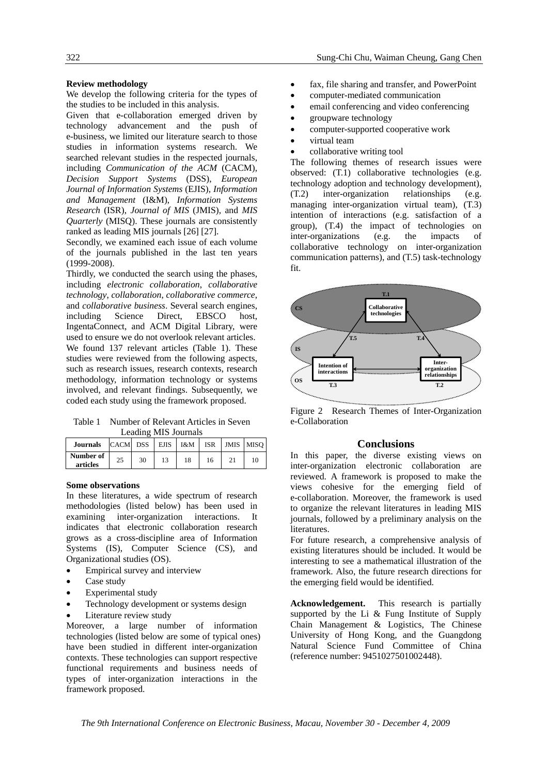#### **Review methodology**

We develop the following criteria for the types of the studies to be included in this analysis.

Given that e-collaboration emerged driven by technology advancement and the push of e-business, we limited our literature search to those studies in information systems research. We searched relevant studies in the respected journals, including *Communication of the ACM* (CACM), *Decision Support Systems* (DSS), *European Journal of Information Systems* (EJIS)*, Information and Management* (I&M), *Information Systems Research* (ISR), *Journal of MIS* (JMIS)*,* and *MIS Quarterly* (MISQ). These journals are consistently ranked as leading MIS journals [26] [27].

Secondly, we examined each issue of each volume of the journals published in the last ten years (1999-2008).

Thirdly, we conducted the search using the phases, including *electronic collaboration*, *collaborative technology*, *collaboration*, *collaborative commerce*, and *collaborative business*. Several search engines, including Science Direct, EBSCO host, IngentaConnect, and ACM Digital Library, were used to ensure we do not overlook relevant articles. We found 137 relevant articles (Table 1). These studies were reviewed from the following aspects, such as research issues, research contexts, research methodology, information technology or systems involved, and relevant findings. Subsequently, we coded each study using the framework proposed.

Table 1 Number of Relevant Articles in Seven Leading MIS Journals

| <b>Journals</b>       | $CACM$ DSS EJIS   $1$ &M |    |    | <b>ISR</b> | JMIS MISO |
|-----------------------|--------------------------|----|----|------------|-----------|
| Number of<br>articles | 25                       | 30 | 18 | 16         | 10        |

#### **Some observations**

In these literatures, a wide spectrum of research methodologies (listed below) has been used in examining inter-organization interactions. It indicates that electronic collaboration research grows as a cross-discipline area of Information Systems (IS), Computer Science (CS), and Organizational studies (OS).

- Empirical survey and interview
- Case study
- Experimental study
- Technology development or systems design
- Literature review study

Moreover, a large number of information technologies (listed below are some of typical ones) have been studied in different inter-organization contexts. These technologies can support respective functional requirements and business needs of types of inter-organization interactions in the framework proposed.

- fax, file sharing and transfer, and PowerPoint
- computer-mediated communication
- email conferencing and video conferencing
- groupware technology
- computer-supported cooperative work
- virtual team
- collaborative writing tool

The following themes of research issues were observed: (T.1) collaborative technologies (e.g. technology adoption and technology development), (T.2) inter-organization relationships (e.g. managing inter-organization virtual team), (T.3) intention of interactions (e.g. satisfaction of a group), (T.4) the impact of technologies on inter-organizations (e.g. the impacts of collaborative technology on inter-organization communication patterns), and (T.5) task-technology fit.



Figure 2 Research Themes of Inter-Organization e-Collaboration

#### **Conclusions**

In this paper, the diverse existing views on inter-organization electronic collaboration are reviewed. A framework is proposed to make the views cohesive for the emerging field of e-collaboration. Moreover, the framework is used to organize the relevant literatures in leading MIS journals, followed by a preliminary analysis on the literatures.

For future research, a comprehensive analysis of existing literatures should be included. It would be interesting to see a mathematical illustration of the framework. Also, the future research directions for the emerging field would be identified.

**Acknowledgement.** This research is partially supported by the Li & Fung Institute of Supply Chain Management & Logistics, The Chinese University of Hong Kong, and the Guangdong Natural Science Fund Committee of China (reference number: 9451027501002448).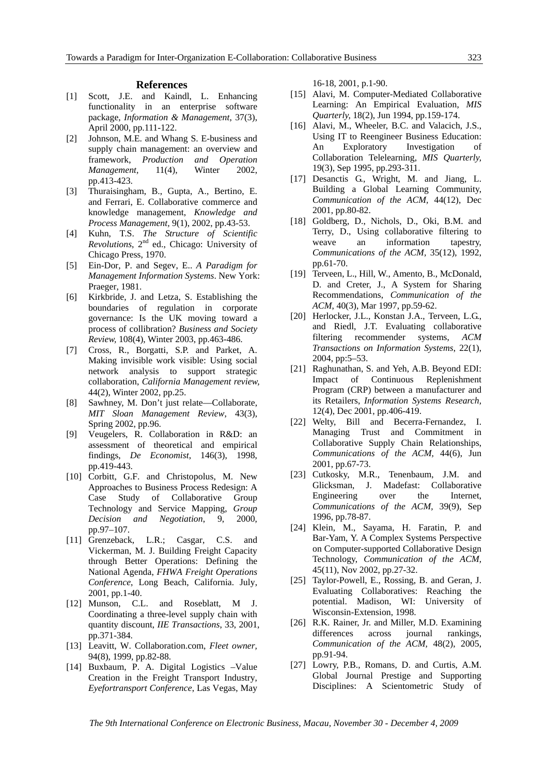#### **References**

- [1] Scott, J.E. and Kaindl, L. Enhancing functionality in an enterprise software package, *Information & Management*, 37(3), April 2000, pp.111-122.
- [2] Johnson, M.E. and Whang S. E-business and supply chain management: an overview and framework, *Production and Operation Management,* 11(4), Winter 2002, pp.413-423.
- [3] Thuraisingham, B., Gupta, A., Bertino, E. and Ferrari, E. Collaborative commerce and knowledge management, *Knowledge and Process Management,* 9(1), 2002, pp.43-53.
- [4] Kuhn, T.S. *The Structure of Scientific Revolutions*, 2nd ed., Chicago: University of Chicago Press, 1970.
- [5] Ein-Dor, P. and Segev, E.. *A Paradigm for Management Information Systems*. New York: Praeger, 1981.
- [6] Kirkbride, J. and Letza, S. Establishing the boundaries of regulation in corporate governance: Is the UK moving toward a process of collibration? *Business and Society Review,* 108(4), Winter 2003, pp.463-486.
- [7] Cross, R., Borgatti, S.P. and Parket, A. Making invisible work visible: Using social network analysis to support strategic collaboration, *California Management review,*  44(2), Winter 2002, pp.25.
- [8] Sawhney, M. Don't just relate—Collaborate, *MIT Sloan Management Review*, 43(3), Spring 2002, pp.96.
- [9] Veugelers, R. Collaboration in R&D: an assessment of theoretical and empirical findings, *De Economist*, 146(3), 1998, pp.419-443.
- [10] Corbitt, G.F. and Christopolus, M. New Approaches to Business Process Redesign: A Case Study of Collaborative Group Technology and Service Mapping, *Group Decision and Negotiation*, 9, 2000, pp.97–107.
- [11] Grenzeback, L.R.; Casgar, C.S. and Vickerman, M. J. Building Freight Capacity through Better Operations: Defining the National Agenda, *FHWA Freight Operations Conference*, Long Beach, California. July, 2001, pp.1-40.
- [12] Munson, C.L. and Roseblatt, M J. Coordinating a three-level supply chain with quantity discount, *IIE Transactions*, 33, 2001, pp.371-384.
- [13] Leavitt, W. Collaboration.com, *Fleet owner,* 94(8), 1999, pp.82-88.
- [14] Buxbaum, P. A. Digital Logistics –Value Creation in the Freight Transport Industry, *Eyefortransport Conference*, Las Vegas, May

16-18, 2001, p.1-90.

- [15] Alavi, M. Computer-Mediated Collaborative Learning: An Empirical Evaluation, *MIS Quarterly,* 18(2), Jun 1994, pp.159-174.
- [16] Alavi, M., Wheeler, B.C. and Valacich, J.S., Using IT to Reengineer Business Education: An Exploratory Investigation of Collaboration Telelearning, *MIS Quarterly,*  19(3), Sep 1995, pp.293-311.
- [17] Desanctis G., Wright, M. and Jiang, L. Building a Global Learning Community, *Communication of the ACM,* 44(12), Dec 2001, pp.80-82.
- [18] Goldberg, D., Nichols, D., Oki, B.M. and Terry, D., Using collaborative filtering to weave an information tapestry, *Communications of the ACM,* 35(12), 1992, pp.61-70.
- [19] Terveen, L., Hill, W., Amento, B., McDonald, D. and Creter, J., A System for Sharing Recommendations, *Communication of the ACM*, 40(3), Mar 1997, pp.59-62.
- [20] Herlocker, J.L., Konstan J.A., Terveen, L.G., and Riedl, J.T. Evaluating collaborative filtering recommender systems, *ACM Transactions on Information Systems*, 22(1), 2004, pp:5–53.
- [21] Raghunathan, S. and Yeh, A.B. Beyond EDI: Impact of Continuous Replenishment Program (CRP) between a manufacturer and its Retailers, *Information Systems Research,*  12(4), Dec 2001, pp.406-419.
- [22] Welty, Bill and Becerra-Fernandez, I. Managing Trust and Commitment in Collaborative Supply Chain Relationships, *Communications of the ACM,* 44(6), Jun 2001, pp.67-73.
- [23] Cutkosky, M.R., Tenenbaum, J.M. and Glicksman, J. Madefast: Collaborative Engineering over the Internet, *Communications of the ACM,* 39(9), Sep 1996, pp.78-87.
- [24] Klein, M., Sayama, H. Faratin, P. and Bar-Yam, Y. A Complex Systems Perspective on Computer-supported Collaborative Design Technology, *Communication of the ACM,*  45(11), Nov 2002, pp.27-32.
- [25] Taylor-Powell, E., Rossing, B. and Geran, J. Evaluating Collaboratives: Reaching the potential. Madison, WI: University of Wisconsin-Extension, 1998.
- [26] R.K. Rainer, Jr. and Miller, M.D. Examining differences across journal rankings, *Communication of the ACM,* 48(2), 2005, pp.91-94.
- [27] Lowry, P.B., Romans, D. and Curtis, A.M. Global Journal Prestige and Supporting Disciplines: A Scientometric Study of